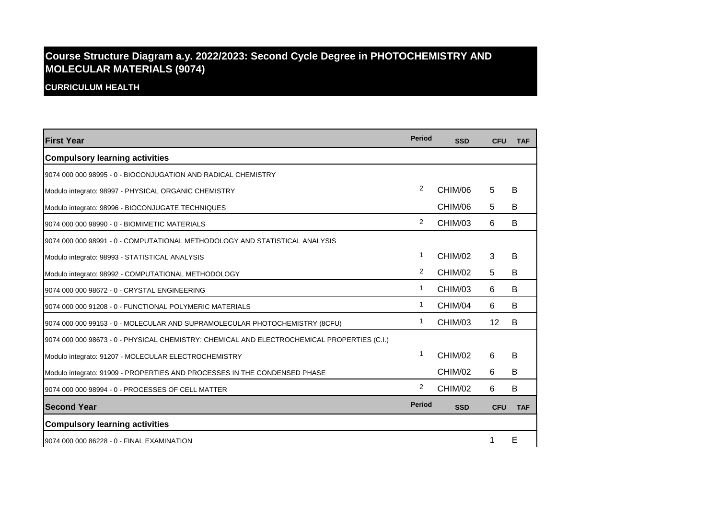## **Course Structure Diagram a.y. 2022/2023: Second Cycle Degree in PHOTOCHEMISTRY AND MOLECULAR MATERIALS (9074)**

**CURRICULUM HEALTH**

| <b>First Year</b>                                                                           | <b>Period</b>  | <b>SSD</b> | <b>CFU</b> | <b>TAF</b> |
|---------------------------------------------------------------------------------------------|----------------|------------|------------|------------|
| <b>Compulsory learning activities</b>                                                       |                |            |            |            |
| 9074 000 000 98995 - 0 - BIOCONJUGATION AND RADICAL CHEMISTRY                               |                |            |            |            |
| Modulo integrato: 98997 - PHYSICAL ORGANIC CHEMISTRY                                        | $\overline{2}$ | CHIM/06    | 5          | B          |
| Modulo integrato: 98996 - BIOCONJUGATE TECHNIQUES                                           |                | CHIM/06    | 5          | В          |
| 9074 000 000 98990 - 0 - BIOMIMETIC MATERIALS                                               | 2              | CHIM/03    | 6          | B          |
| 9074 000 000 98991 - 0 - COMPUTATIONAL METHODOLOGY AND STATISTICAL ANALYSIS                 |                |            |            |            |
| Modulo integrato: 98993 - STATISTICAL ANALYSIS                                              | 1              | CHIM/02    | 3          | в          |
| Modulo integrato: 98992 - COMPUTATIONAL METHODOLOGY                                         | $\overline{2}$ | CHIM/02    | 5          | B          |
| 9074 000 000 98672 - 0 - CRYSTAL ENGINEERING                                                | 1              | CHIM/03    | 6          | B          |
| 9074 000 000 91208 - 0 - FUNCTIONAL POLYMERIC MATERIALS                                     | 1              | CHIM/04    | 6          | B          |
| 9074 000 000 99153 - 0 - MOLECULAR AND SUPRAMOLECULAR PHOTOCHEMISTRY (8CFU)                 | 1              | CHIM/03    | 12         | B          |
| 9074 000 000 98673 - 0 - PHYSICAL CHEMISTRY: CHEMICAL AND ELECTROCHEMICAL PROPERTIES (C.I.) |                |            |            |            |
| Modulo integrato: 91207 - MOLECULAR ELECTROCHEMISTRY                                        | 1              | CHIM/02    | 6          | B          |
| Modulo integrato: 91909 - PROPERTIES AND PROCESSES IN THE CONDENSED PHASE                   |                | CHIM/02    | 6          | B          |
| 9074 000 000 98994 - 0 - PROCESSES OF CELL MATTER                                           | 2              | CHIM/02    | 6          | B          |
| <b>Second Year</b>                                                                          | <b>Period</b>  | <b>SSD</b> | <b>CFU</b> | <b>TAF</b> |
| <b>Compulsory learning activities</b>                                                       |                |            |            |            |
| 9074 000 000 86228 - 0 - FINAL EXAMINATION                                                  |                |            |            | E          |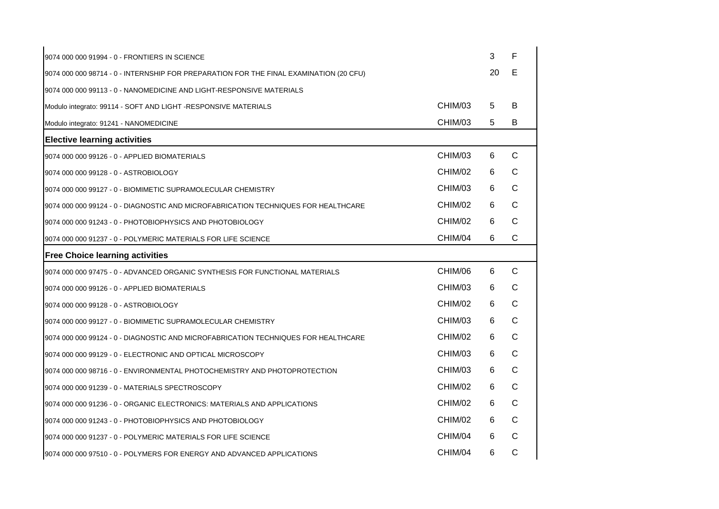| 9074 000 000 91994 - 0 - FRONTIERS IN SCIENCE                                          |         | 3  | F            |
|----------------------------------------------------------------------------------------|---------|----|--------------|
| 9074 000 000 98714 - 0 - INTERNSHIP FOR PREPARATION FOR THE FINAL EXAMINATION (20 CFU) |         | 20 | Е            |
| 9074 000 000 99113 - 0 - NANOMEDICINE AND LIGHT-RESPONSIVE MATERIALS                   |         |    |              |
| Modulo integrato: 99114 - SOFT AND LIGHT -RESPONSIVE MATERIALS                         | CHIM/03 | 5  | B            |
| Modulo integrato: 91241 - NANOMEDICINE                                                 | CHIM/03 | 5  | B            |
| <b>Elective learning activities</b>                                                    |         |    |              |
| 9074 000 000 99126 - 0 - APPLIED BIOMATERIALS                                          | CHIM/03 | 6  | C            |
| 9074 000 000 99128 - 0 - ASTROBIOLOGY                                                  | CHIM/02 | 6  | C            |
| 9074 000 000 99127 - 0 - BIOMIMETIC SUPRAMOLECULAR CHEMISTRY                           | CHIM/03 | 6  | C            |
| 9074 000 000 99124 - 0 - DIAGNOSTIC AND MICROFABRICATION TECHNIQUES FOR HEALTHCARE     | CHIM/02 | 6  | $\mathsf{C}$ |
| 9074 000 000 91243 - 0 - PHOTOBIOPHYSICS AND PHOTOBIOLOGY                              | CHIM/02 | 6  | C            |
| 9074 000 000 91237 - 0 - POLYMERIC MATERIALS FOR LIFE SCIENCE                          | CHIM/04 | 6  | $\mathsf{C}$ |
| <b>Free Choice learning activities</b>                                                 |         |    |              |
| 9074 000 000 97475 - 0 - ADVANCED ORGANIC SYNTHESIS FOR FUNCTIONAL MATERIALS           | CHIM/06 | 6  | $\mathsf{C}$ |
| 9074 000 000 99126 - 0 - APPLIED BIOMATERIALS                                          | CHIM/03 | 6  | C            |
| 9074 000 000 99128 - 0 - ASTROBIOLOGY                                                  | CHIM/02 | 6  | $\mathsf{C}$ |
| 9074 000 000 99127 - 0 - BIOMIMETIC SUPRAMOLECULAR CHEMISTRY                           | CHIM/03 | 6  | C            |
| 9074 000 000 99124 - 0 - DIAGNOSTIC AND MICROFABRICATION TECHNIQUES FOR HEALTHCARE     | CHIM/02 | 6  | $\mathsf{C}$ |
| 9074 000 000 99129 - 0 - ELECTRONIC AND OPTICAL MICROSCOPY                             | CHIM/03 | 6  | C            |
| 9074 000 000 98716 - 0 - ENVIRONMENTAL PHOTOCHEMISTRY AND PHOTOPROTECTION              | CHIM/03 | 6  | C            |
| 9074 000 000 91239 - 0 - MATERIALS SPECTROSCOPY                                        | CHIM/02 | 6  | $\mathsf{C}$ |
| 9074 000 000 91236 - 0 - ORGANIC ELECTRONICS: MATERIALS AND APPLICATIONS               | CHIM/02 | 6  | C            |
| 9074 000 000 91243 - 0 - PHOTOBIOPHYSICS AND PHOTOBIOLOGY                              | CHIM/02 | 6  | $\mathsf{C}$ |
| 9074 000 000 91237 - 0 - POLYMERIC MATERIALS FOR LIFE SCIENCE                          | CHIM/04 | 6  | C            |
| 9074 000 000 97510 - 0 - POLYMERS FOR ENERGY AND ADVANCED APPLICATIONS                 | CHIM/04 | 6  | $\mathsf{C}$ |